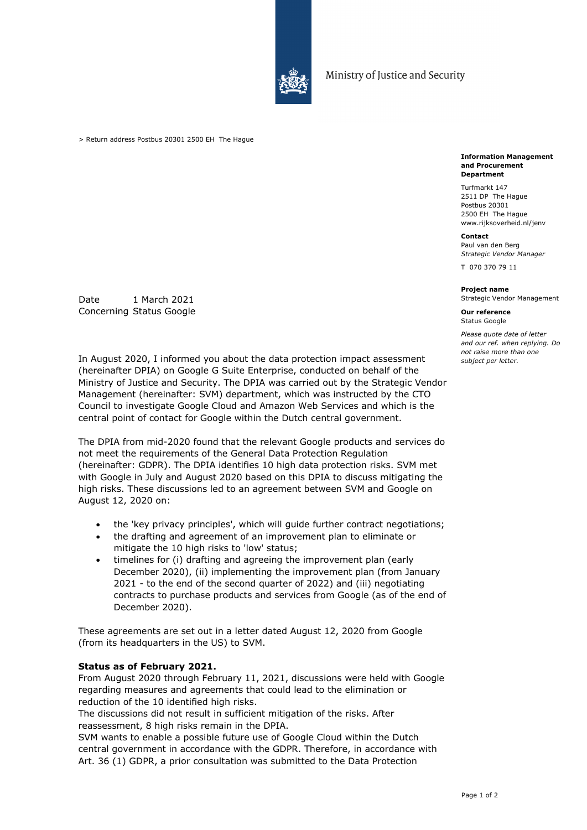

Ministry of Justice and Security

> Return address Postbus 20301 2500 EH The Hague

Date 1 March 2021 Concerning Status Google

In August 2020, I informed you about the data protection impact assessment (hereinafter DPIA) on Google G Suite Enterprise, conducted on behalf of the Ministry of Justice and Security. The DPIA was carried out by the Strategic Vendor Management (hereinafter: SVM) department, which was instructed by the CTO Council to investigate Google Cloud and Amazon Web Services and which is the central point of contact for Google within the Dutch central government.

The DPIA from mid-2020 found that the relevant Google products and services do not meet the requirements of the General Data Protection Regulation (hereinafter: GDPR). The DPIA identifies 10 high data protection risks. SVM met with Google in July and August 2020 based on this DPIA to discuss mitigating the high risks. These discussions led to an agreement between SVM and Google on August 12, 2020 on:

- the 'key privacy principles', which will guide further contract negotiations;
- the drafting and agreement of an improvement plan to eliminate or mitigate the 10 high risks to 'low' status;
- timelines for (i) drafting and agreeing the improvement plan (early December 2020), (ii) implementing the improvement plan (from January 2021 - to the end of the second quarter of 2022) and (iii) negotiating contracts to purchase products and services from Google (as of the end of December 2020).

These agreements are set out in a letter dated August 12, 2020 from Google (from its headquarters in the US) to SVM.

# **Status as of February 2021.**

From August 2020 through February 11, 2021, discussions were held with Google regarding measures and agreements that could lead to the elimination or reduction of the 10 identified high risks.

The discussions did not result in sufficient mitigation of the risks. After reassessment, 8 high risks remain in the DPIA.

SVM wants to enable a possible future use of Google Cloud within the Dutch central government in accordance with the GDPR. Therefore, in accordance with Art. 36 (1) GDPR, a prior consultation was submitted to the Data Protection

#### **Information Management and Procurement Department**

Turfmarkt 147 2511 DP The Hague Postbus 20301 2500 EH The Hague www.rijksoverheid.nl/jenv

## **Contact**

Paul van den Berg *Strategic Vendor Manager*

T 070 370 79 11

### **Project name**

Strategic Vendor Management

**Our reference** Status Google

*Please quote date of letter and our ref. when replying. Do not raise more than one subject per letter.*